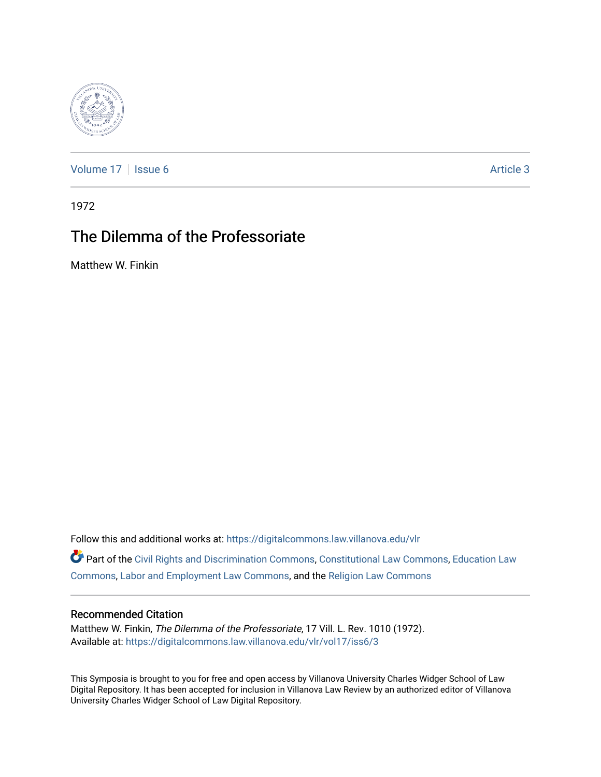

[Volume 17](https://digitalcommons.law.villanova.edu/vlr/vol17) | [Issue 6](https://digitalcommons.law.villanova.edu/vlr/vol17/iss6) Article 3

1972

# The Dilemma of the Professoriate

Matthew W. Finkin

Follow this and additional works at: [https://digitalcommons.law.villanova.edu/vlr](https://digitalcommons.law.villanova.edu/vlr?utm_source=digitalcommons.law.villanova.edu%2Fvlr%2Fvol17%2Fiss6%2F3&utm_medium=PDF&utm_campaign=PDFCoverPages)

Part of the [Civil Rights and Discrimination Commons,](http://network.bepress.com/hgg/discipline/585?utm_source=digitalcommons.law.villanova.edu%2Fvlr%2Fvol17%2Fiss6%2F3&utm_medium=PDF&utm_campaign=PDFCoverPages) [Constitutional Law Commons,](http://network.bepress.com/hgg/discipline/589?utm_source=digitalcommons.law.villanova.edu%2Fvlr%2Fvol17%2Fiss6%2F3&utm_medium=PDF&utm_campaign=PDFCoverPages) [Education Law](http://network.bepress.com/hgg/discipline/596?utm_source=digitalcommons.law.villanova.edu%2Fvlr%2Fvol17%2Fiss6%2F3&utm_medium=PDF&utm_campaign=PDFCoverPages) [Commons](http://network.bepress.com/hgg/discipline/596?utm_source=digitalcommons.law.villanova.edu%2Fvlr%2Fvol17%2Fiss6%2F3&utm_medium=PDF&utm_campaign=PDFCoverPages), [Labor and Employment Law Commons,](http://network.bepress.com/hgg/discipline/909?utm_source=digitalcommons.law.villanova.edu%2Fvlr%2Fvol17%2Fiss6%2F3&utm_medium=PDF&utm_campaign=PDFCoverPages) and the [Religion Law Commons](http://network.bepress.com/hgg/discipline/872?utm_source=digitalcommons.law.villanova.edu%2Fvlr%2Fvol17%2Fiss6%2F3&utm_medium=PDF&utm_campaign=PDFCoverPages) 

### Recommended Citation

Matthew W. Finkin, The Dilemma of the Professoriate, 17 Vill. L. Rev. 1010 (1972). Available at: [https://digitalcommons.law.villanova.edu/vlr/vol17/iss6/3](https://digitalcommons.law.villanova.edu/vlr/vol17/iss6/3?utm_source=digitalcommons.law.villanova.edu%2Fvlr%2Fvol17%2Fiss6%2F3&utm_medium=PDF&utm_campaign=PDFCoverPages) 

This Symposia is brought to you for free and open access by Villanova University Charles Widger School of Law Digital Repository. It has been accepted for inclusion in Villanova Law Review by an authorized editor of Villanova University Charles Widger School of Law Digital Repository.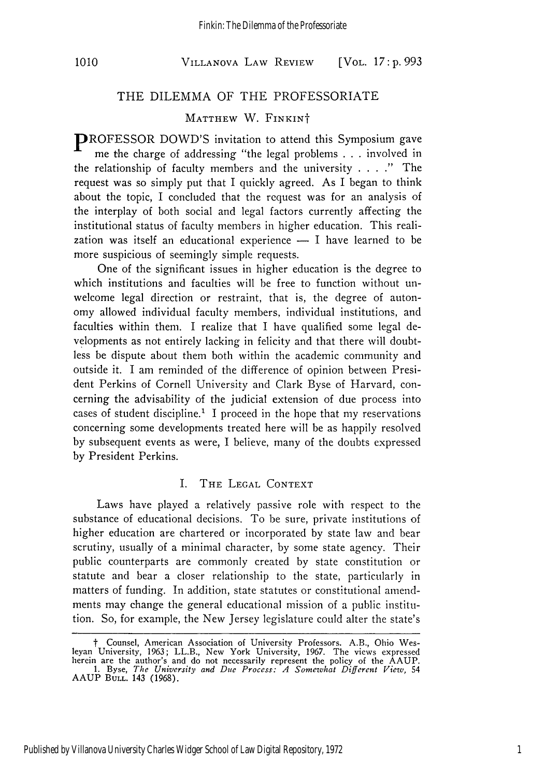#### VILLANOVA LAW REVIEW **1010** [VOL. *17* **: p. 993**

### THE DILEMMA OF THE PROFESSORIATE

### MATTHEW W. FINKINt

PROFESSOR DOWD'S invitation to attend this Symposium gave me the charge of addressing "the legal problems . . . involved in the relationship of faculty members and the university .... " The request was so simply put that I quickly agreed. As I began to think about the topic, I concluded that the request was for an analysis of the interplay of both social and legal factors currently affecting the institutional status of faculty members in higher education. This realization was itself an educational experience  $- I$  have learned to be more suspicious of seemingly simple requests.

One of the significant issues in higher education is the degree to which institutions and faculties will be free to function without unwelcome legal direction or restraint, that is, the degree of autonomy allowed individual faculty members, individual institutions, and faculties within them. I realize that I have qualified some legal developments as not entirely lacking in felicity and that there will doubtless be dispute about them both within the academic community and outside it. I am reminded of the difference of opinion between President Perkins of Cornell University and Clark Byse of Harvard, concerning the advisability of the judicial extension of due process into cases of student discipline.<sup>1</sup> I proceed in the hope that my reservations concerning some developments treated here will be as happily resolved by subsequent events as were, I believe, many of the doubts expressed by President Perkins.

### I. THE LEGAL CONTEXT

Laws have played a relatively passive role with respect to the substance of educational decisions. To be sure, private institutions of higher education are chartered or incorporated by state law and bear scrutiny, usually of a minimal character, by some state agency. Their public counterparts are commonly created by state constitution or statute and bear a closer relationship to the state, particularly in matters of funding. In addition, state statutes or constitutional amendments may change the general educational mission of a public institution. So, for example, the New Jersey legislature could alter the state's

t Counsel, American Association of University Professors. A.B., Ohio Wes-leyan University, 1963; LL.B., New York University, 1967. The views expressed herein are the author's and do not necessarily represent the policy of the AAUP. **1.** Byse, *The University and Due Process: A Somewhat Different View,* 54 AAUP **BULL.** 143 (1968).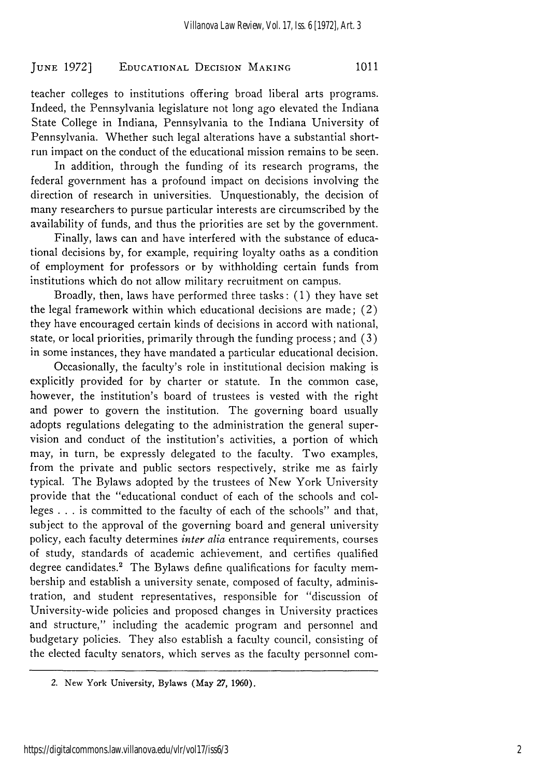## EDUCATIONAL DECISION **MAKING 1011 JUNE 1972]**

teacher colleges to institutions offering broad liberal arts programs. Indeed, the Pennsylvania legislature not long ago elevated the Indiana State College in Indiana, Pennsylvania to the Indiana University of Pennsylvania. Whether such legal alterations have a substantial shortrun impact on the conduct of the educational mission remains to be seen.

In addition, through the funding of its research programs, the federal government has a profound impact on decisions involving the direction of research in universities. Unquestionably, the decision of many researchers to pursue particular interests are circumscribed by the availability of funds, and thus the priorities are set by the government.

Finally, laws can and have interfered with the substance of educational decisions by, for example, requiring loyalty oaths as a condition of employment for professors or by withholding certain funds from institutions which do not allow military recruitment on campus.

Broadly, then, laws have performed three tasks: (1) they have set the legal framework within which educational decisions are made; (2) they have encouraged certain kinds of decisions in accord with national, state, or local priorities, primarily through the funding process; and (3) in some instances, they have mandated a particular educational decision.

Occasionally, the faculty's role in institutional decision making is explicitly provided for by charter or statute. In the common case, however, the institution's board of trustees is vested with the right and power to govern the institution. The governing board usually adopts regulations delegating to the administration the general supervision and conduct of the institution's activities, a portion of which may, in turn, be expressly delegated to the faculty. Two examples, from the private and public sectors respectively, strike me as fairly typical. The Bylaws adopted by the trustees of New York University provide that the "educational conduct of each of the schools and colleges . . . is committed to the faculty of each of the schools" and that, subject to the approval of the governing board and general university policy, each faculty determines *inter alia* entrance requirements, courses of study, standards of academic achievement, and certifies qualified degree candidates.<sup>2</sup> The Bylaws define qualifications for faculty membership and establish a university senate, composed of faculty, administration, and student representatives, responsible for "discussion of University-wide policies and proposed changes in University practices and structure," including the academic program and personnel and budgetary policies. They also establish a faculty council, consisting of the elected faculty senators, which serves as the faculty personnel com-

<sup>2.</sup> New York University, Bylaws (May 27, 1960).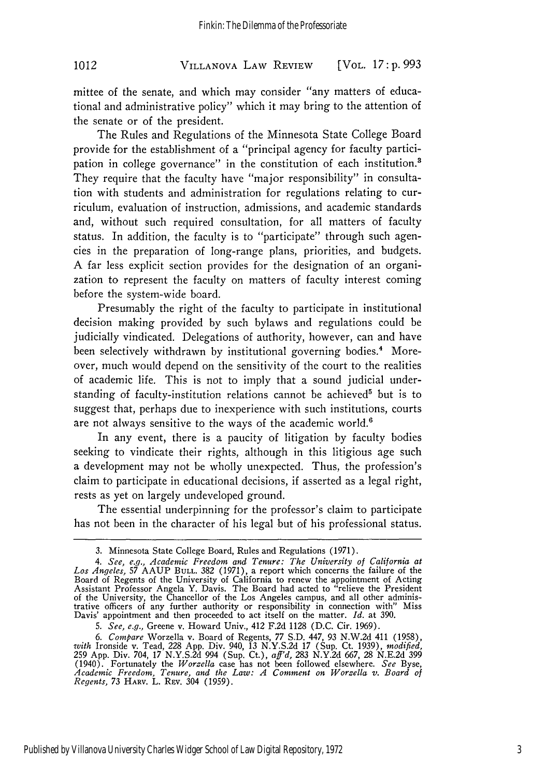### VILLANOVA LAW REVIEW *1012* [VOL. *17:* **p. 993**

mittee of the senate, and which may consider "any matters of educational and administrative policy" which it may bring to the attention of the senate or of the president.

The Rules and Regulations of the Minnesota State College Board provide for the establishment of a "principal agency for faculty participation in college governance" in the constitution of each institution.<sup>8</sup> They require that the faculty have "major responsibility" in consultation with students and administration for regulations relating to curriculum, evaluation of instruction, admissions, and academic standards and, without such required consultation, for all matters of faculty status. In addition, the faculty is to "participate" through such agencies in the preparation of long-range plans, priorities, and budgets. A far less explicit section provides for the designation of an organization to represent the faculty on matters of faculty interest coming before the system-wide board.

Presumably the right of the faculty to participate in institutional decision making provided by such bylaws and regulations could be judicially vindicated. Delegations of authority, however, can and have been selectively withdrawn by institutional governing bodies.<sup>4</sup> Moreover, much would depend on the sensitivity of the court to the realities of academic life. This is not to imply that a sound judicial understanding of faculty-institution relations cannot be achieved<sup>5</sup> but is to suggest that, perhaps due to inexperience with such institutions, courts are not always sensitive to the ways of the academic world.<sup>6</sup>

In any event, there is a paucity of litigation by faculty bodies seeking to vindicate their rights, although in this litigious age such a development may not be wholly unexpected. Thus, the profession's claim to participate in educational decisions, if asserted as a legal right, rests as yet on largely undeveloped ground.

The essential underpinning for the professor's claim to participate has not been in the character of his legal but of his professional status.

<sup>3.</sup> Minnesota State College Board, Rules and Regulations (1971).

*<sup>4.</sup> See, e.g., Academic Freedom and Tenure: The University of California at Los Angeles, 57* AAUP **BULL.** 382 (1971), a report which concerns the failure of the Board of Regents of the University of California to renew the appointment of Acting Assistant Professor Angela Y. Davis. The Board had acted to "relieve the President of the University, the Chancellor of the Los Angeles campus, and all other adminis-trative officers of any further authority or responsibility in connection with" Miss Davis' appointment and then proceeded to act itself on the matter. *Id.* at 390.

*<sup>5.</sup> See, e.g.,* Greene v. Howard Univ., 412 F.2d 1128 (D.C. Cir. 1969).

*<sup>6.</sup> Compare* Worzella v. Board of Regents, 77 S.D. 447, 93 N.W.2d 411 (1958), *with* Ironside v. Tead, 228 App. Div. 940, 13 N.Y.S.2d 17 (Sup. Ct. 1939), *modified,* 259 App. Div. 704, 17 N.Y.S.2d 994 (Sup. Ct.), *aff'd,* 283 N.Y.2d 667, 28 N.E.2d 399 (1940). Fortunately the *Worcella* case has not been followed elsewhere. *See* Byse, Academic Freedom, Tenure, and the Law: A Comment on Worzella v. Board of<br>*Regents, 73 HARV. L. REV. 304 (1959).*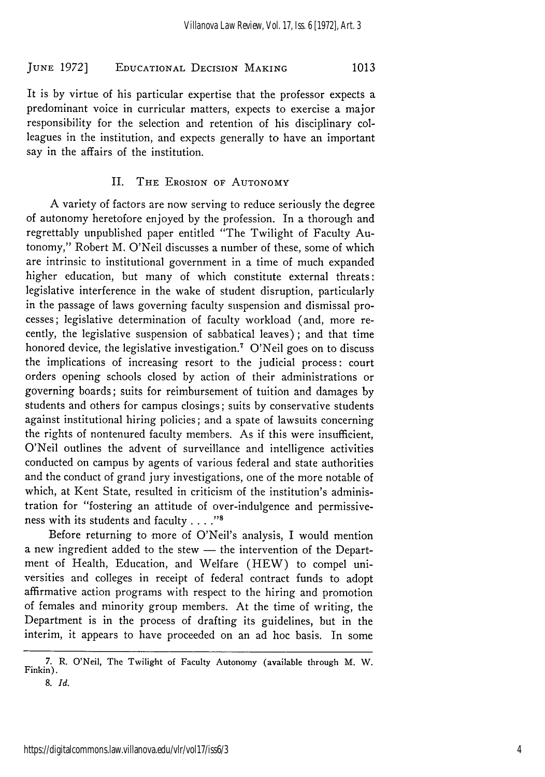### **EDUCATIONAL** DECISION MAKING **JUNE 1972] 1013**

It is by virtue of his particular expertise that the professor expects a predominant voice in curricular matters, expects to exercise a major responsibility for the selection and retention of his disciplinary colleagues in the institution, and expects generally to have an important say in the affairs of the institution.

### II. **THE EROSION OF AUTONOMY**

A variety of factors are now serving to reduce seriously the degree of autonomy heretofore enjoyed **by** the profession. In a thorough and regrettably unpublished paper entitled "The Twilight of Faculty Autonomy," Robert M. O'Neil discusses a number of these, some of which are intrinsic to institutional government in a time of much expanded higher education, but many of which constitute external threats: legislative interference in the wake of student disruption, particularly in the passage of laws governing faculty suspension and dismissal processes; legislative determination of faculty workload (and, more recently, the legislative suspension of sabbatical leaves) ; and that time honored device, the legislative investigation.<sup>7</sup> O'Neil goes on to discuss the implications of increasing resort to the judicial process: court orders opening schools closed **by** action of their administrations or governing boards; suits for reimbursement of tuition and damages **by** students and others for campus closings; suits **by** conservative students against institutional hiring policies; and a spate of lawsuits concerning the rights of nontenured faculty members. As if this were insufficient, O'Neil outlines the advent of surveillance and intelligence activities conducted on campus **by** agents of various federal and state authorities and the conduct of grand jury investigations, one of the more notable of which, at Kent State, resulted in criticism of the institution's administration for "fostering an attitude of over-indulgence and permissiveness with its students and faculty **...."'**

Before returning to more of O'Neil's analysis, I would mention a new ingredient added to the stew - the intervention of the Department of Health, Education, and Welfare (HEW) to compel universities and colleges in receipt of federal contract funds to adopt affirmative action programs with respect to the hiring and promotion of females and minority group members. At the time of writing, the Department is in the process of drafting its guidelines, but in the interim, it appears to have proceeded on an ad hoc basis. In some

**<sup>7.</sup>** R. O'Neil, The Twilight of Faculty Autonomy (available **through** M. **W.** Finkin).

**<sup>8.</sup>** *Id.*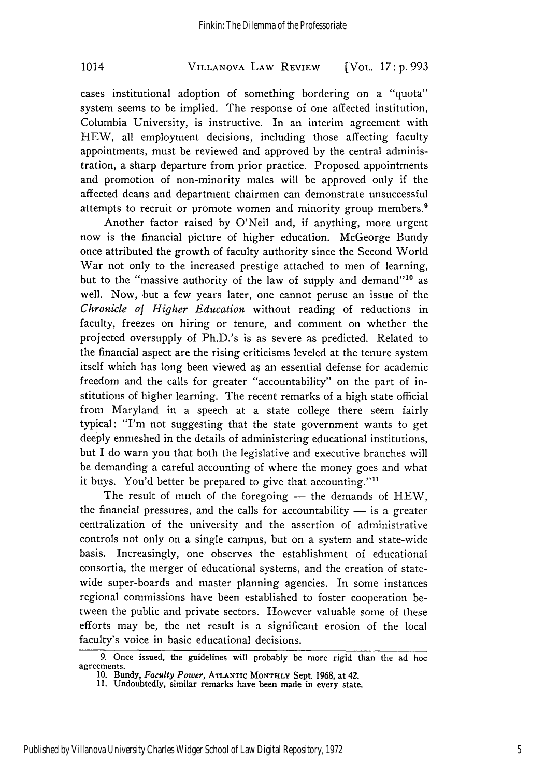### VILLANOVA LAW REVIEW 1014 [VOL. *17* **: p. 993**

cases institutional adoption of something bordering on a "quota" system seems to be implied. The response of one affected institution, Columbia University, is instructive. In an interim agreement with HEW, all employment decisions, including those affecting faculty appointments, must be reviewed and approved by the central administration, a sharp departure from prior practice. Proposed appointments and promotion of non-minority males will be approved only if the affected deans and department chairmen can demonstrate unsuccessful attempts to recruit or promote women and minority group members.<sup>9</sup>

Another factor raised by O'Neil and, if anything, more urgent now is the financial picture of higher education. McGeorge Bundy once attributed the growth of faculty authority since the Second World War not only to the increased prestige attached to men of learning, but to the "massive authority of the law of supply and demand"<sup>10</sup> as well. Now, but a few years later, one cannot peruse an issue of the *Chronicle of Higher Education* without reading of reductions in faculty, freezes on hiring or tenure, and comment on whether the projected oversupply of Ph.D.'s is as severe as predicted. Related to the financial aspect are the rising criticisms leveled at the tenure system itself which has long been viewed as an essential defense for academic freedom and the calls for greater "accountability" on the part of institutions of higher learning. The recent remarks of a high state official from Maryland in a speech at a state college there seem fairly typical: "I'm not suggesting that the state government wants to get deeply enmeshed in the details of administering educational institutions, but I do warn you that both the legislative and executive branches will be demanding a careful accounting of where the money goes and what it buys. You'd better be prepared to give that accounting."<sup>11</sup>

The result of much of the foregoing  $-$  the demands of  $HEW$ , the financial pressures, and the calls for accountability  $-$  is a greater centralization of the university and the assertion of administrative controls not only on a single campus, but on a system and state-wide basis. Increasingly, one observes the establishment of educational consortia, the merger of educational systems, and the creation of statewide super-boards and master planning agencies. In some instances regional commissions have been established to foster cooperation between the public and private sectors. However valuable some of these efforts may be, the net result is a significant erosion of the local faculty's voice in basic educational decisions.

**<sup>9.</sup>** Once issued, the guidelines will probably be more rigid than the ad hoc agreements.

**<sup>10.</sup>** Bundy, *Faculty Power,* **ATLANTIC MONTHLY** Sept. **1968,** at **42.**

**<sup>11.</sup>** Undoubtedly, similar remarks have been made in every state.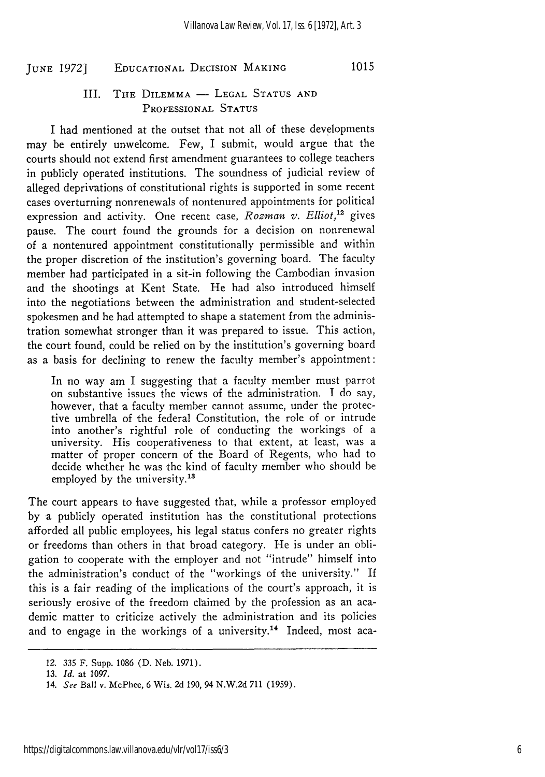### **EDUCATIONAL** DECISION **MAKING 1015** *JUNE 1972]*

### III. THE DILEMMA - LEGAL STATUS AND PROFESSIONAL **STATUS**

I had mentioned at the outset that not all of these developments may be entirely unwelcome. Few, I submit, would argue that the courts should not extend first amendment guarantees to college teachers in publicly operated institutions. The soundness of judicial review of alleged deprivations of constitutional rights is supported in some recent cases overturning nonrenewals of nontenured appointments for political expression and activity. One recent case, *Rozman v. Elliot*,<sup>12</sup> gives pause. The court found the grounds for a decision on nonrenewal of a nontenured appointment constitutionally permissible and within the proper discretion of the institution's governing board. The faculty member had participated in a sit-in following the Cambodian invasion and the shootings at Kent State. He had also introduced himself into the negotiations between the administration and student-selected spokesmen and he had attempted to shape a statement from the administration somewhat stronger than it was prepared to issue. This action, the court found, could be relied on by the institution's governing board as a basis for declining to renew the faculty member's appointment:

In no way am I suggesting that a faculty member must parrot on substantive issues the views of the administration. I do say, however, that a faculty member cannot assume, under the protective umbrella of the federal Constitution, the role of or intrude into another's rightful role of conducting the workings of a university. His cooperativeness to that extent, at least, was a matter of proper concern of the Board of Regents, who had to decide whether he was the kind of faculty member who should be employed by the university.<sup>13</sup>

The court appears to have suggested that, while a professor employed by a publicly operated institution has the constitutional protections afforded all public employees, his legal status confers no greater rights or freedoms than others in that broad category. He is under an obligation to cooperate with the employer and not "intrude" himself into the administration's conduct of the "workings of the university." If this is a fair reading of the implications of the court's approach, it is seriously erosive of the freedom claimed by the profession as an academic matter to criticize actively the administration and its policies and to engage in the workings of a university.<sup>14</sup> Indeed, most aca-

*<sup>12.</sup>* 335 F. Supp. 1086 (D. Neb. 1971).

<sup>13.</sup> *Id.* at **1097.**

<sup>14.</sup> *See* Ball v. McPhee, 6 Wis. 2d 190, 94 **N.W.2d 711** (1959).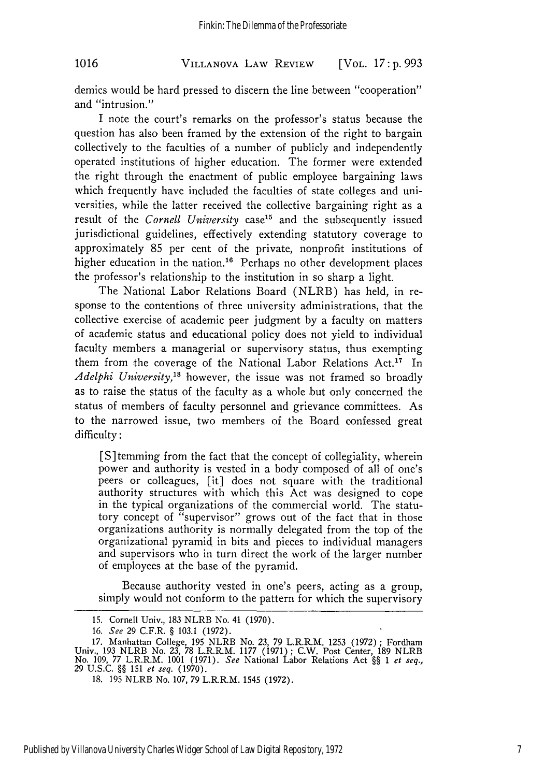VILLANOVA LAW REVIEW **1016** [VOL. *17:* **p. 993**

demics would be hard pressed to discern the line between "cooperation" and "intrusion."

I note the court's remarks on the professor's status because the question has also been framed by the extension of the right to bargain collectively to the faculties of a number of publicly and independently operated institutions of higher education. The former were extended the right through the enactment of public employee bargaining laws which frequently have included the faculties of state colleges and universities, while the latter received the collective bargaining right as a result of the *Cornell University* case<sup>15</sup> and the subsequently issued jurisdictional guidelines, effectively extending statutory coverage to approximately 85 per cent of the private, nonprofit institutions of higher education in the nation.<sup>16</sup> Perhaps no other development places the professor's relationship to the institution in so sharp a light.

The National Labor Relations Board (NLRB) has held, in response to the contentions of three university administrations, that the collective exercise of academic peer judgment by a faculty on matters of academic status and educational policy does not yield to individual faculty members a managerial or supervisory status, thus exempting them from the coverage of the National Labor Relations Act.<sup>17</sup> In *Adelphi University,'"* however, the issue was not framed so broadly as to raise the status of the faculty as a whole but only concerned the status of members of faculty personnel and grievance committees. As to the narrowed issue, two members of the Board confessed great difficulty:

[S]temming from the fact that the concept of collegiality, wherein power and authority is vested in a body composed of all of one's peers or colleagues, [it] does not square with the traditional authority structures with which this Act was designed to cope in the typical organizations of the commercial world. The statutory concept of "supervisor" grows out of the fact that in those organizations authority is normally delegated from the top of the organizational pyramid in bits and pieces to individual managers and supervisors who in turn direct the work of the larger number of employees at the base of the pyramid.

Because authority vested in one's peers, acting as a group, simply would not conform to the pattern for which the supervisory

<sup>15.</sup> Cornell Univ., 183 NLRB No. 41 (1970).

*<sup>16.</sup> See* 29 C.F.R. § 103.1 (1972).

<sup>17.</sup> Manhattan College, 195 NLRB No. 23, 79 L.R.R.M. 1253 (1972) ; Fordham Univ., 193 NLRB No. 23, 78 L.R.R.M. 1177 (1971); C.W. Post Center, 189 NLRB No. 109, 77 L.R.R.M. 1001 (1971). See National Labor Relations Act §§ 1 *et seq.,* 29 U.S.C. §§ 151 *et seq.* (1970).

<sup>18. 195</sup> NLRB No. 107, 79 L.R.R.M. 1545 (1972).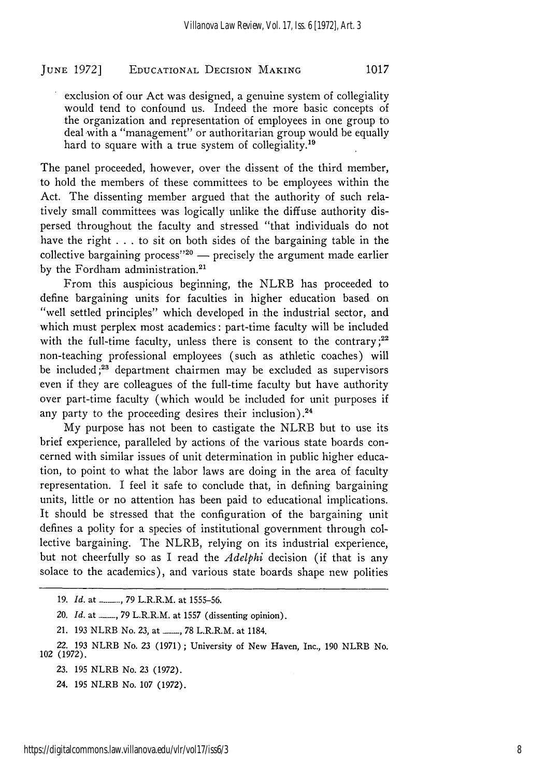### EDUCATIONAL DECISION MAKING **JUNE 1972] 1017**

exclusion of our Act was designed, a genuine system of collegiality would tend to confound us. Indeed the more basic concepts of the organization and representation of employees in one group to deal with a "management" or authoritarian group would be equally hard to square with a true system of collegiality.<sup>19</sup>

The panel proceeded, however, over the dissent of the third member, to hold the members of these committees to be employees within the Act. The dissenting member argued that the authority of such relatively small committees was logically unlike the diffuse authority dispersed throughout the faculty and stressed "that individuals do not have the right  $\dots$  to sit on both sides of the bargaining table in the collective bargaining process<sup>"20</sup>  $-$  precisely the argument made earlier by the Fordham administration.<sup>21</sup>

From this auspicious beginning, the NLRB has proceeded to define bargaining units for faculties in higher education based on "well settled principles" which developed in the industrial sector, and which must perplex most academics: part-time faculty will be included with the full-time faculty, unless there is consent to the contrary;<sup>22</sup> non-teaching professional employees (such as athletic coaches) will be included **;23** department chairmen may be excluded as supervisors even if they are colleagues of the full-time faculty but have authority over part-time faculty (which would be included for unit purposes if any party to the proceeding desires their inclusion).<sup>24</sup>

My purpose has not been to castigate the NLRB but to use its brief experience, paralleled by actions of the various state boards concerned with similar issues of unit determination in public higher education, to point to what the labor laws are doing in the area of faculty representation. I feel it safe to conclude that, in defining bargaining units, little or no attention has been paid to educational implications. It should be stressed that the configuration of the bargaining unit defines a polity for a species of institutional government through collective bargaining. The NLRB, relying on its industrial experience, but not cheerfully so as I read the *Adelphi* decision (if that is any solace to the academics), and various state boards shape new polities

**<sup>19.</sup>** *Id.* at **\_ \_** *,79* L.R.R.M. at **1555-56.**

<sup>20.</sup> *Id.* at *<sub>1</sub> 79* L.R.R.M. at 1557 (dissenting opinion).

<sup>21.</sup> **193** NLRB No. **23,** at \_\_\_, **78** L.R.R.M. at 1184.

<sup>22.</sup> **193** NLRB **No. 23 (1971);** University of New Haven, Inc., **190** NLRB No. 102 **(1972).**

**<sup>23. 195</sup>** NLRB No. **23 (1972).**

<sup>24.</sup> **195** NLRB No. **107 (1972).**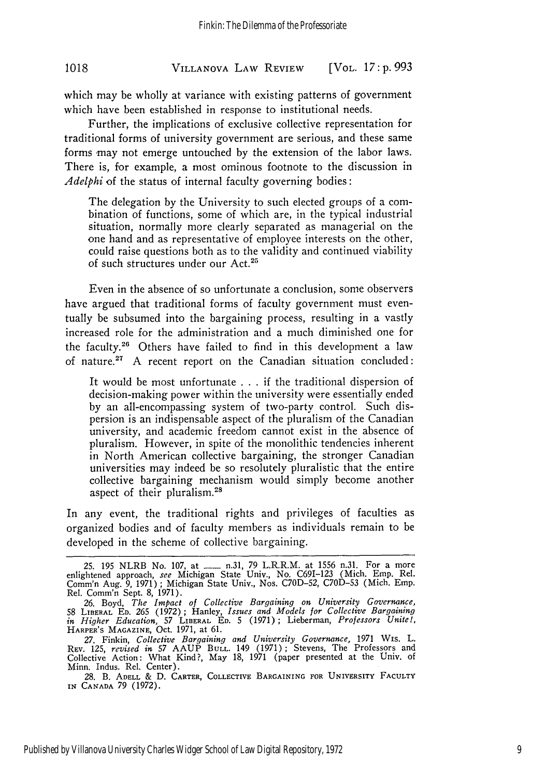### VILLANOVA LAW REVIEW **1018** [VOL. *17:* **p. 993**

which may be wholly at variance with existing patterns of government which have been established in response to institutional needs.

Further, the implications of exclusive collective representation for traditional forms of university government are serious, and these same forms may not emerge untouched by the extension of the labor laws. There is, for example, a most ominous footnote to the discussion in *Adelphi* of the status of internal faculty governing bodies:

The delegation by the University to such elected groups of a combination of functions, some of which are, in the typical industrial situation, normally more clearly separated as managerial on the one hand and as representative of employee interests on the other, could raise questions both as to the validity and continued viability of such structures under our Act.25

Even in the absence of so unfortunate a conclusion, some observers have argued that traditional forms of faculty government must eventually be subsumed into the bargaining process, resulting in a vastly increased role for the administration and a much diminished one for the faculty.2" Others have failed to find in this development a law of nature.<sup>27</sup> A recent report on the Canadian situation concluded:

It would be most unfortunate . . . if the traditional dispersion of decision-making power within the university were essentially ended by an all-encompassing system of two-party control. Such dispersion is an indispensable aspect of the pluralism of the Canadian university, and academic freedom cannot exist in the absence of pluralism. However, in spite of the monolithic tendencies inherent in North American collective bargaining, the stronger Canadian universities may indeed be so resolutely pluralistic that the entire collective bargaining mechanism would simply become another aspect of their pluralism. <sup>28</sup>

In any event, the traditional rights and privileges of faculties as organized bodies and of faculty members as individuals remain to be developed in the scheme of collective bargaining.

<sup>25. 195</sup> NLRB No. 107, at \_\_\_ n.31, 79 L.R.R.M. at 1556 n.31. For a more enlightened approach, *see* Michigan State Univ., No. C691-123 (Mich. Emp. Rel. Comm'n Aug. 9, 1971); Michigan State Univ., Nos. C70D-52, C70D-53 (Mich. Emp. Rel. Comm'n Sept. 8, 1971).

<sup>26.</sup> Boyd, *The Impact of Collective Bargaining on University Governance,* 58 LIBERAL **ED.** 265 (1972) ; Hanley, *Issues and Models for Collective Bargaining in Higher Education,* 57 LIBERAL **ED.** 5 (1971); Lieberman, *Professors Unite!,* HARPER'S MAGAZINE, Oct. 1971, at 61.

*<sup>27.</sup>* Finkin, *Collective Bargaining and University Governance,* 1971 Wis. L. REV. 125, *revised in* 57 AAUP **BULL.** 149 (1971); Stevens, The Professors and Collective Action: What Kind?, May 18, 1971 (paper presented at the Univ. of Minn. Indus. Rel. Center).

<sup>28.</sup> B. **ADELL &** D. CARTER, COLLECTIVE BARGAINING FOR UNIVERSITY **FACULTY IN CANADA** 79 (1972).